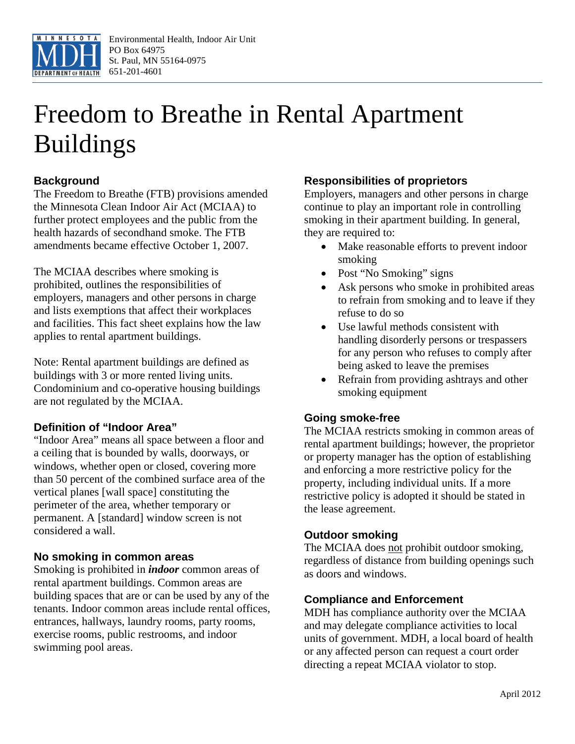

# Freedom to Breathe in Rental Apartment Buildings

# **Background**

The Freedom to Breathe (FTB) provisions amended the Minnesota Clean Indoor Air Act (MCIAA) to further protect employees and the public from the health hazards of secondhand smoke. The FTB amendments became effective October 1, 2007.

The MCIAA describes where smoking is prohibited, outlines the responsibilities of employers, managers and other persons in charge and lists exemptions that affect their workplaces and facilities. This fact sheet explains how the law applies to rental apartment buildings.

Note: Rental apartment buildings are defined as buildings with 3 or more rented living units. Condominium and co-operative housing buildings are not regulated by the MCIAA.

## **Definition of "Indoor Area"**

"Indoor Area" means all space between a floor and a ceiling that is bounded by walls, doorways, or windows, whether open or closed, covering more than 50 percent of the combined surface area of the vertical planes [wall space] constituting the perimeter of the area, whether temporary or permanent. A [standard] window screen is not considered a wall.

#### **No smoking in common areas**

Smoking is prohibited in *indoor* common areas of rental apartment buildings. Common areas are building spaces that are or can be used by any of the tenants. Indoor common areas include rental offices, entrances, hallways, laundry rooms, party rooms, exercise rooms, public restrooms, and indoor swimming pool areas.

## **Responsibilities of proprietors**

Employers, managers and other persons in charge continue to play an important role in controlling smoking in their apartment building. In general, they are required to:

- Make reasonable efforts to prevent indoor smoking
- Post "No Smoking" signs
- Ask persons who smoke in prohibited areas to refrain from smoking and to leave if they refuse to do so
- Use lawful methods consistent with handling disorderly persons or trespassers for any person who refuses to comply after being asked to leave the premises
- Refrain from providing ashtrays and other smoking equipment

#### **Going smoke-free**

The MCIAA restricts smoking in common areas of rental apartment buildings; however, the proprietor or property manager has the option of establishing and enforcing a more restrictive policy for the property, including individual units. If a more restrictive policy is adopted it should be stated in the lease agreement.

#### **Outdoor smoking**

The MCIAA does not prohibit outdoor smoking, regardless of distance from building openings such as doors and windows.

#### **Compliance and Enforcement**

MDH has compliance authority over the MCIAA and may delegate compliance activities to local units of government. MDH, a local board of health or any affected person can request a court order directing a repeat MCIAA violator to stop.